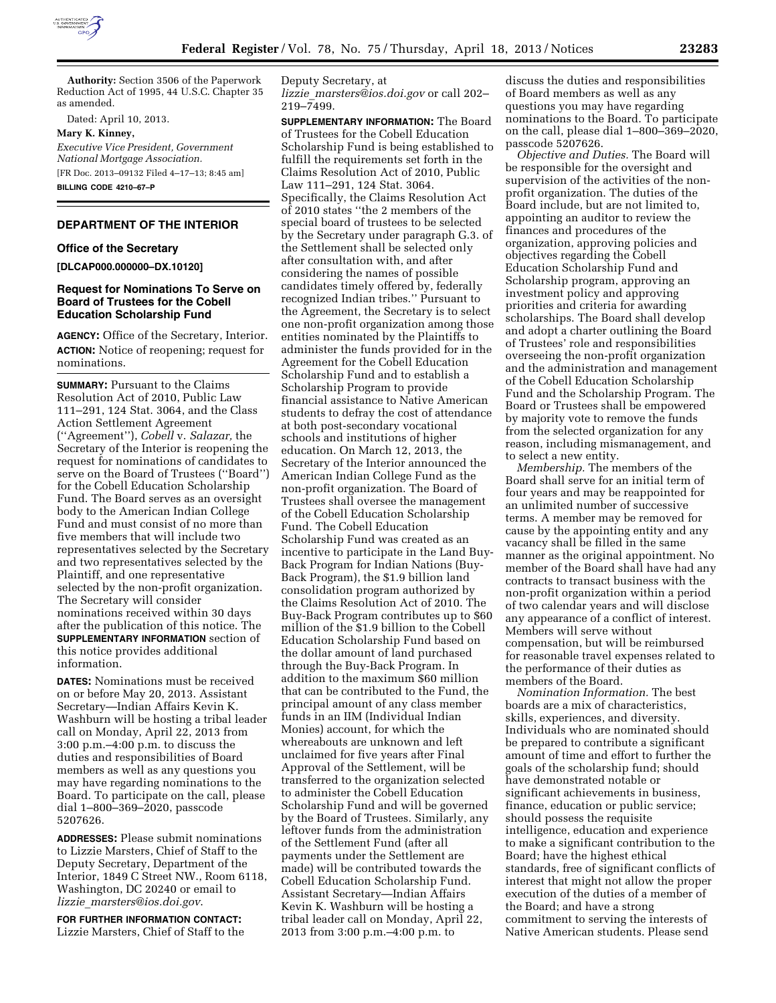

**Authority:** Section 3506 of the Paperwork Reduction Act of 1995, 44 U.S.C. Chapter 35 as amended.

Dated: April 10, 2013.

**Mary K. Kinney,** 

*Executive Vice President, Government National Mortgage Association.*  [FR Doc. 2013–09132 Filed 4–17–13; 8:45 am] **BILLING CODE 4210–67–P** 

# **DEPARTMENT OF THE INTERIOR**

#### **Office of the Secretary**

**[DLCAP000.000000–DX.10120]** 

## **Request for Nominations To Serve on Board of Trustees for the Cobell Education Scholarship Fund**

**AGENCY:** Office of the Secretary, Interior. **ACTION:** Notice of reopening; request for nominations.

**SUMMARY:** Pursuant to the Claims Resolution Act of 2010, Public Law 111–291, 124 Stat. 3064, and the Class Action Settlement Agreement (''Agreement''), *Cobell* v. *Salazar,* the Secretary of the Interior is reopening the request for nominations of candidates to serve on the Board of Trustees (''Board'') for the Cobell Education Scholarship Fund. The Board serves as an oversight body to the American Indian College Fund and must consist of no more than five members that will include two representatives selected by the Secretary and two representatives selected by the Plaintiff, and one representative selected by the non-profit organization. The Secretary will consider nominations received within 30 days after the publication of this notice. The **SUPPLEMENTARY INFORMATION** section of this notice provides additional information.

**DATES:** Nominations must be received on or before May 20, 2013. Assistant Secretary—Indian Affairs Kevin K. Washburn will be hosting a tribal leader call on Monday, April 22, 2013 from 3:00 p.m.–4:00 p.m. to discuss the duties and responsibilities of Board members as well as any questions you may have regarding nominations to the Board. To participate on the call, please dial 1–800–369–2020, passcode 5207626.

**ADDRESSES:** Please submit nominations to Lizzie Marsters, Chief of Staff to the Deputy Secretary, Department of the Interior, 1849 C Street NW., Room 6118, Washington, DC 20240 or email to *lizzie*\_*[marsters@ios.doi.gov](mailto:lizzie_marsters@ios.doi.gov)*.

**FOR FURTHER INFORMATION CONTACT:**  Lizzie Marsters, Chief of Staff to the Deputy Secretary, at *lizzie*\_*[marsters@ios.doi.gov](mailto:lizzie_marsters@ios.doi.gov)* or call 202– 219–7499.

**SUPPLEMENTARY INFORMATION:** The Board of Trustees for the Cobell Education Scholarship Fund is being established to fulfill the requirements set forth in the Claims Resolution Act of 2010, Public Law 111–291, 124 Stat. 3064. Specifically, the Claims Resolution Act of 2010 states ''the 2 members of the special board of trustees to be selected by the Secretary under paragraph G.3. of the Settlement shall be selected only after consultation with, and after considering the names of possible candidates timely offered by, federally recognized Indian tribes.'' Pursuant to the Agreement, the Secretary is to select one non-profit organization among those entities nominated by the Plaintiffs to administer the funds provided for in the Agreement for the Cobell Education Scholarship Fund and to establish a Scholarship Program to provide financial assistance to Native American students to defray the cost of attendance at both post-secondary vocational schools and institutions of higher education. On March 12, 2013, the Secretary of the Interior announced the American Indian College Fund as the non-profit organization. The Board of Trustees shall oversee the management of the Cobell Education Scholarship Fund. The Cobell Education Scholarship Fund was created as an incentive to participate in the Land Buy-Back Program for Indian Nations (Buy-Back Program), the \$1.9 billion land consolidation program authorized by the Claims Resolution Act of 2010. The Buy-Back Program contributes up to \$60 million of the \$1.9 billion to the Cobell Education Scholarship Fund based on the dollar amount of land purchased through the Buy-Back Program. In addition to the maximum \$60 million that can be contributed to the Fund, the principal amount of any class member funds in an IIM (Individual Indian Monies) account, for which the whereabouts are unknown and left unclaimed for five years after Final Approval of the Settlement, will be transferred to the organization selected to administer the Cobell Education Scholarship Fund and will be governed by the Board of Trustees. Similarly, any leftover funds from the administration of the Settlement Fund (after all payments under the Settlement are made) will be contributed towards the Cobell Education Scholarship Fund. Assistant Secretary—Indian Affairs Kevin K. Washburn will be hosting a tribal leader call on Monday, April 22, 2013 from 3:00 p.m.–4:00 p.m. to

discuss the duties and responsibilities of Board members as well as any questions you may have regarding nominations to the Board. To participate on the call, please dial 1–800–369–2020, passcode 5207626.

*Objective and Duties.* The Board will be responsible for the oversight and supervision of the activities of the nonprofit organization. The duties of the Board include, but are not limited to, appointing an auditor to review the finances and procedures of the organization, approving policies and objectives regarding the Cobell Education Scholarship Fund and Scholarship program, approving an investment policy and approving priorities and criteria for awarding scholarships. The Board shall develop and adopt a charter outlining the Board of Trustees' role and responsibilities overseeing the non-profit organization and the administration and management of the Cobell Education Scholarship Fund and the Scholarship Program. The Board or Trustees shall be empowered by majority vote to remove the funds from the selected organization for any reason, including mismanagement, and to select a new entity.

*Membership.* The members of the Board shall serve for an initial term of four years and may be reappointed for an unlimited number of successive terms. A member may be removed for cause by the appointing entity and any vacancy shall be filled in the same manner as the original appointment. No member of the Board shall have had any contracts to transact business with the non-profit organization within a period of two calendar years and will disclose any appearance of a conflict of interest. Members will serve without compensation, but will be reimbursed for reasonable travel expenses related to the performance of their duties as members of the Board.

*Nomination Information.* The best boards are a mix of characteristics, skills, experiences, and diversity. Individuals who are nominated should be prepared to contribute a significant amount of time and effort to further the goals of the scholarship fund; should have demonstrated notable or significant achievements in business, finance, education or public service; should possess the requisite intelligence, education and experience to make a significant contribution to the Board; have the highest ethical standards, free of significant conflicts of interest that might not allow the proper execution of the duties of a member of the Board; and have a strong commitment to serving the interests of Native American students. Please send